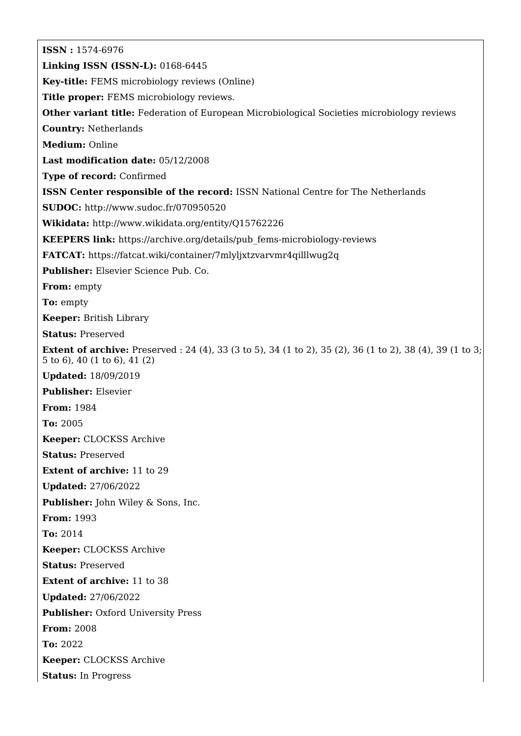**ISSN :** 1574-6976 **Linking ISSN (ISSN-L):** 0168-6445 **Key-title:** FEMS microbiology reviews (Online) **Title proper:** FEMS microbiology reviews. **Other variant title:** Federation of European Microbiological Societies microbiology reviews **Country:** Netherlands **Medium:** Online **Last modification date:** 05/12/2008 **Type of record:** Confirmed **ISSN Center responsible of the record:** ISSN National Centre for The Netherlands **SUDOC:** <http://www.sudoc.fr/070950520> **Wikidata:** <http://www.wikidata.org/entity/Q15762226> **KEEPERS link:** [https://archive.org/details/pub\\_fems-microbiology-reviews](https://archive.org/details/pub_fems-microbiology-reviews) **FATCAT:** <https://fatcat.wiki/container/7mlyljxtzvarvmr4qilllwug2q> **Publisher:** Elsevier Science Pub. Co. **From:** empty **To:** empty **Keeper:** British Library **Status:** Preserved **Extent of archive:** Preserved : 24 (4), 33 (3 to 5), 34 (1 to 2), 35 (2), 36 (1 to 2), 38 (4), 39 (1 to 3; 5 to 6), 40 (1 to 6), 41 (2) **Updated:** 18/09/2019 **Publisher:** Elsevier **From:** 1984 **To:** 2005 **Keeper:** CLOCKSS Archive **Status:** Preserved **Extent of archive:** 11 to 29 **Updated:** 27/06/2022 **Publisher:** John Wiley & Sons, Inc. **From:** 1993 **To:** 2014 **Keeper:** CLOCKSS Archive **Status:** Preserved **Extent of archive:** 11 to 38 **Updated:** 27/06/2022 **Publisher: Oxford University Press From:** 2008 **To:** 2022 **Keeper:** CLOCKSS Archive **Status:** In Progress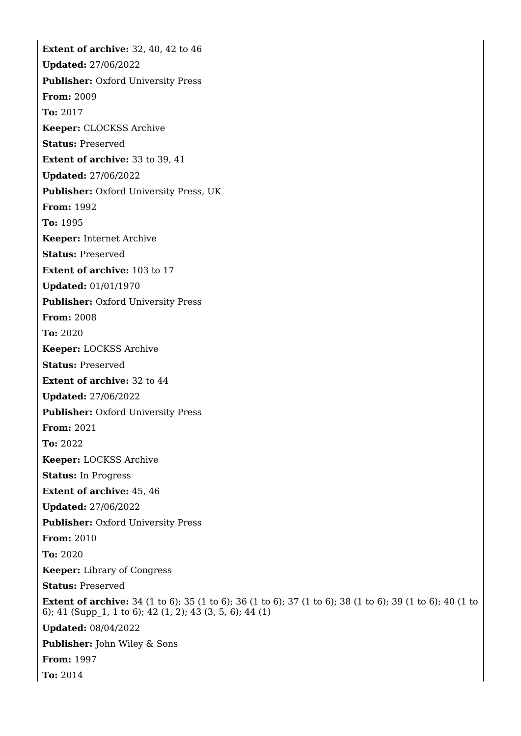**Extent of archive:** 32, 40, 42 to 46 **Updated:** 27/06/2022 **Publisher:** Oxford University Press **From:** 2009 **To:** 2017 **Keeper:** CLOCKSS Archive **Status:** Preserved **Extent of archive:** 33 to 39, 41 **Updated:** 27/06/2022 **Publisher:** Oxford University Press, UK **From:** 1992 **To:** 1995 **Keeper:** Internet Archive **Status:** Preserved **Extent of archive:** 103 to 17 **Updated:** 01/01/1970 **Publisher: Oxford University Press From:** 2008 **To:** 2020 **Keeper:** LOCKSS Archive **Status:** Preserved **Extent of archive:** 32 to 44 **Updated:** 27/06/2022 **Publisher: Oxford University Press From:** 2021 **To:** 2022 **Keeper:** LOCKSS Archive **Status:** In Progress **Extent of archive:** 45, 46 **Updated:** 27/06/2022 **Publisher:** Oxford University Press **From:** 2010 **To:** 2020 **Keeper:** Library of Congress **Status:** Preserved **Extent of archive:** 34 (1 to 6); 35 (1 to 6); 36 (1 to 6); 37 (1 to 6); 38 (1 to 6); 39 (1 to 6); 40 (1 to 6); 41 (Supp\_1, 1 to 6); 42 (1, 2); 43 (3, 5, 6); 44 (1) **Updated:** 08/04/2022 **Publisher:** John Wiley & Sons **From:** 1997 **To:** 2014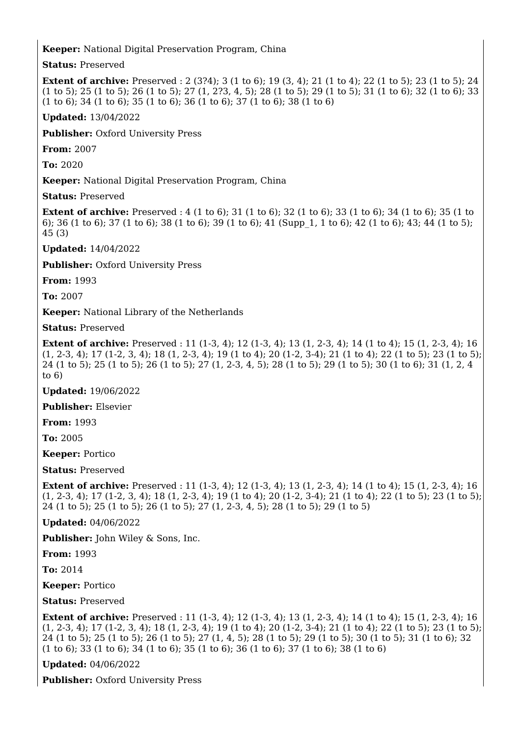## **Keeper:** National Digital Preservation Program, China

**Status:** Preserved

**Extent of archive:** Preserved : 2 (3?4); 3 (1 to 6); 19 (3, 4); 21 (1 to 4); 22 (1 to 5); 23 (1 to 5); 24 (1 to 5); 25 (1 to 5); 26 (1 to 5); 27 (1, 2?3, 4, 5); 28 (1 to 5); 29 (1 to 5); 31 (1 to 6); 32 (1 to 6); 33 (1 to 6); 34 (1 to 6); 35 (1 to 6); 36 (1 to 6); 37 (1 to 6); 38 (1 to 6)

**Updated:** 13/04/2022

**Publisher: Oxford University Press** 

**From:** 2007

**To:** 2020

**Keeper:** National Digital Preservation Program, China

**Status:** Preserved

**Extent of archive:** Preserved : 4 (1 to 6); 31 (1 to 6); 32 (1 to 6); 33 (1 to 6); 34 (1 to 6); 35 (1 to 6); 36 (1 to 6); 37 (1 to 6); 38 (1 to 6); 39 (1 to 6); 41 (Supp\_1, 1 to 6); 42 (1 to 6); 43; 44 (1 to 5); 45 (3)

**Updated:** 14/04/2022

**Publisher:** Oxford University Press

**From:** 1993

**To:** 2007

**Keeper:** National Library of the Netherlands

**Status:** Preserved

**Extent of archive:** Preserved : 11 (1-3, 4); 12 (1-3, 4); 13 (1, 2-3, 4); 14 (1 to 4); 15 (1, 2-3, 4); 16 (1, 2-3, 4); 17 (1-2, 3, 4); 18 (1, 2-3, 4); 19 (1 to 4); 20 (1-2, 3-4); 21 (1 to 4); 22 (1 to 5); 23 (1 to 5); 24 (1 to 5); 25 (1 to 5); 26 (1 to 5); 27 (1, 2-3, 4, 5); 28 (1 to 5); 29 (1 to 5); 30 (1 to 6); 31 (1, 2, 4 to 6)

**Updated:** 19/06/2022

**Publisher:** Elsevier

**From:** 1993

**To:** 2005

**Keeper:** Portico

**Status:** Preserved

**Extent of archive:** Preserved : 11 (1-3, 4); 12 (1-3, 4); 13 (1, 2-3, 4); 14 (1 to 4); 15 (1, 2-3, 4); 16 (1, 2-3, 4); 17 (1-2, 3, 4); 18 (1, 2-3, 4); 19 (1 to 4); 20 (1-2, 3-4); 21 (1 to 4); 22 (1 to 5); 23 (1 to 5); 24 (1 to 5); 25 (1 to 5); 26 (1 to 5); 27 (1, 2-3, 4, 5); 28 (1 to 5); 29 (1 to 5)

**Updated:** 04/06/2022

**Publisher:** John Wiley & Sons, Inc.

**From:** 1993

**To:** 2014

**Keeper:** Portico

**Status:** Preserved

**Extent of archive:** Preserved : 11 (1-3, 4); 12 (1-3, 4); 13 (1, 2-3, 4); 14 (1 to 4); 15 (1, 2-3, 4); 16 (1, 2‐3, 4); 17 (1‐2, 3, 4); 18 (1, 2‐3, 4); 19 (1 to 4); 20 (1‐2, 3‐4); 21 (1 to 4); 22 (1 to 5); 23 (1 to 5); 24 (1 to 5); 25 (1 to 5); 26 (1 to 5); 27 (1, 4, 5); 28 (1 to 5); 29 (1 to 5); 30 (1 to 5); 31 (1 to 6); 32 (1 to 6); 33 (1 to 6); 34 (1 to 6); 35 (1 to 6); 36 (1 to 6); 37 (1 to 6); 38 (1 to 6)

**Updated:** 04/06/2022

**Publisher: Oxford University Press**